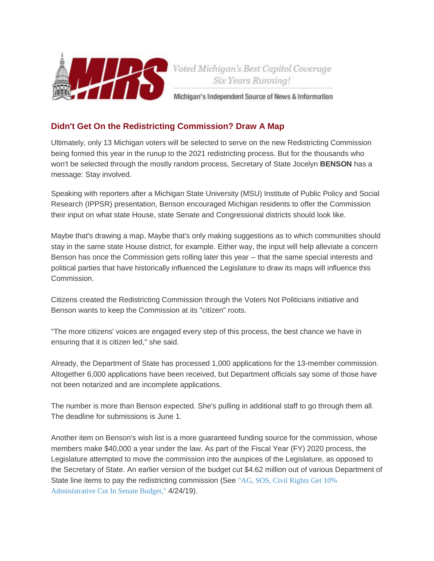

## **Didn't Get On the Redistricting Commission? Draw A Map**

Ultimately, only 13 Michigan voters will be selected to serve on the new Redistricting Commission being formed this year in the runup to the 2021 redistricting process. But for the thousands who won't be selected through the mostly random process, Secretary of State Jocelyn **BENSON** has a message: Stay involved.

Speaking with reporters after a Michigan State University (MSU) Institute of Public Policy and Social Research (IPPSR) presentation, Benson encouraged Michigan residents to offer the Commission their input on what state House, state Senate and Congressional districts should look like.

Maybe that's drawing a map. Maybe that's only making suggestions as to which communities should stay in the same state House district, for example. Either way, the input will help alleviate a concern Benson has once the Commission gets rolling later this year -- that the same special interests and political parties that have historically influenced the Legislature to draw its maps will influence this Commission.

Citizens created the Redistricting Commission through the Voters Not Politicians initiative and Benson wants to keep the Commission at its "citizen" roots.

"The more citizens' voices are engaged every step of this process, the best chance we have in ensuring that it is citizen led," she said.

Already, the Department of State has processed 1,000 applications for the 13-member commission. Altogether 6,000 applications have been received, but Department officials say some of those have not been notarized and are incomplete applications.

The number is more than Benson expected. She's pulling in additional staff to go through them all. The deadline for submissions is June 1.

Another item on Benson's wish list is a more guaranteed funding source for the commission, whose members make \$40,000 a year under the law. As part of the Fiscal Year (FY) 2020 process, the Legislature attempted to move the commission into the auspices of the Legislature, as opposed to the Secretary of State. An earlier version of the budget cut \$4.62 million out of various Department of State line items to pay the redistricting commission (See ["AG, SOS, Civil Rights Get 10%](https://mirsnews.com/capsule.php?gid=5574#57410)  [Administrative Cut In Senate Budget,"](https://mirsnews.com/capsule.php?gid=5574#57410) 4/24/19).